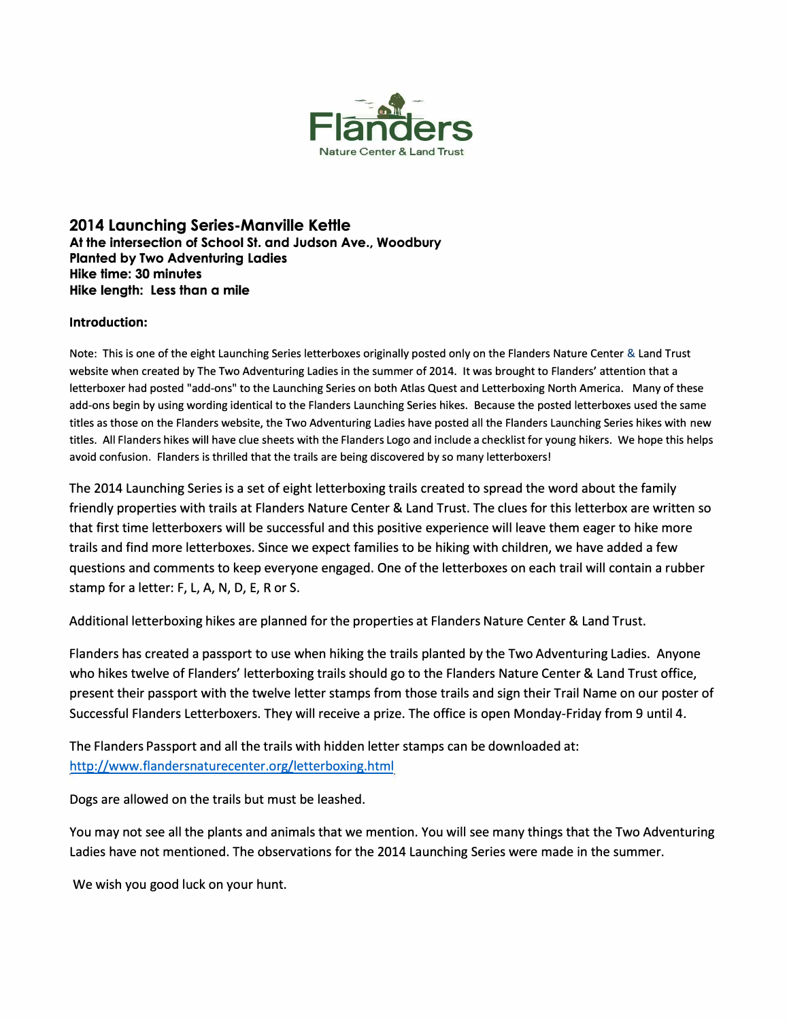

**2014 Launching Series-Manville Kettle At the intersection of School St. and Judson Ave., Woodbury Planted by Two Adventuring Ladies Hike time: 30 minutes Hike length: Less than a mile** 

### **Introduction:**

Note: This is one of the eight Launching Series letterboxes originally posted only on the Flanders Nature Center & Land Trust website when created by The Two Adventuring Ladies in the summer of 2014. It was brought to Flanders' attention that a letterboxer had posted "add-ons" to the Launching Series on both Atlas Quest and Letterboxing North America. Many of these add-ons begin by using wording identical to the Flanders Launching Series hikes. Because the posted letterboxes used the same titles as those on the Flanders website, the Two Adventuring Ladies have posted all the Flanders Launching Series hikes with new titles. All Flanders hikes **will** have clue sheets with the Flanders Logo and include a checklist for young hikers. We hope this helps avoid confusion. Flanders is thrilled that the trails are being discovered by so many letterboxers!

The 2014 Launching Series is a set of eight letterboxing trails created to spread the word about the family friendly properties with trails at Flanders Nature Center & Land Trust. The clues for this letterbox are written so that first time letterboxers will be successful and this positive experience will leave them eager to hike more trails and find more letterboxes. Since we expect families to be hiking with children, we have added a few questions and comments to keep everyone engaged. One of the letterboxes on each trail will contain a rubber stamp for a letter: F, L, A, N, D, E, R or S.

Additional letterboxing hikes are planned for the properties at Flanders Nature Center & Land Trust.

Flanders has created a passport to use when hiking the trails planted by the Two Adventuring Ladies. Anyone who hikes twelve of Flanders' letterboxing trails should go to the Flanders Nature Center & Land Trust office, present their passport with the twelve letter stamps from those trails and sign their Trail Name on our poster of Successful Flanders Letterboxers. They will receive a prize. The office is open Monday-Friday from 9 until 4.

The Flanders Passport and all the trails with hidden letter stamps can be downloaded at: http://www.flandersnaturecenter.org/letterboxing.html

Dogs are allowed on the trails but must be leashed.

You may not see all the plants and animals that we mention. You will see many things that the Two Adventuring Ladies have not mentioned. The observations for the 2014 Launching Series were made in the summer.

We wish you good luck on your hunt.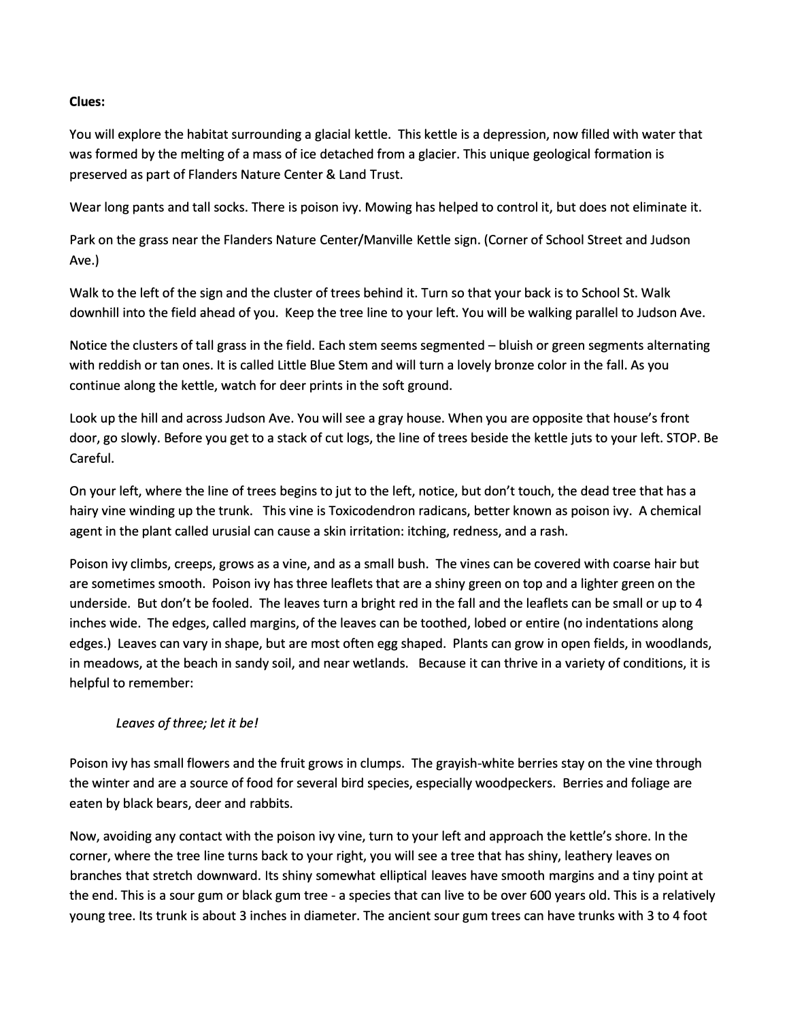### **Clues:**

You will explore the habitat surrounding a glacial kettle. This kettle is a depression, now filled with water that was formed by the melting of a mass of ice detached from a glacier. This unique geological formation is preserved as part of Flanders Nature Center & Land Trust.

Wear long pants and tall socks. There is poison ivy. Mowing has helped to control it, but does not eliminate it.

Park on the grass near the Flanders Nature Center/Manville Kettle sign. (Corner of School Street and Judson Ave.)

Walk to the left of the sign and the cluster of trees behind it. Turn so that your back is to School St. Walk downhill into the field ahead of you. Keep the tree line to your left. You will be walking parallel to Judson Ave.

Notice the clusters of tall grass in the field. Each stem seems segmented - bluish or green segments alternating with reddish or tan ones. It is called Little Blue Stem and will turn a lovely bronze color in the fall. As you continue along the kettle, watch for deer prints in the soft ground.

Look up the hill and across Judson Ave. You will see a gray house. When you are opposite that house's front door, go slowly. Before you get to a stack of cut logs, the line of trees beside the kettle juts to your left. STOP. Be Careful.

On your left, where the line of trees begins to jut to the left, notice, but don't touch, the dead tree that has a hairy vine winding up the trunk. This vine is Toxicodendron radicans, better known as poison ivy. A chemical agent in the plant called urusial can cause a skin irritation: itching, redness, and a rash.

Poison ivy climbs, creeps, grows as a vine, and as a small bush. The vines can be covered with coarse hair but are sometimes smooth. Poison ivy has three leaflets that are a shiny green on top and a lighter green on the underside. But don't be fooled. The leaves turn a bright red in the fall and the leaflets can be small or up to 4 inches wide. The edges, called margins, of the leaves can be toothed, lobed or entire (no indentations along edges.) Leaves can vary in shape, but are most often egg shaped. Plants can grow in open fields, in woodlands, in meadows, at the beach in sandy soil, and near wetlands. Because it can thrive in a variety of conditions, it is helpful to remember:

## *leaves of three; let it be!*

Poison ivy has small flowers and the fruit grows in clumps. The grayish-white berries stay on the vine through the winter and are a source of food for several bird species, especially woodpeckers. Berries and foliage are eaten by black bears, deer and rabbits.

Now, avoiding any contact with the poison ivy vine, turn to your left and approach the kettle's shore. In the corner, where the tree line turns back to your right, you will see a tree that has shiny, leathery leaves on branches that stretch downward. Its shiny somewhat elliptical leaves have smooth margins and a tiny point at the end. This is a sour gum or black gum tree - a species that can live to be over 600 years old. This is a relatively young tree. Its trunk is about 3 inches in diameter. The ancient sour gum trees can have trunks with 3 to 4 foot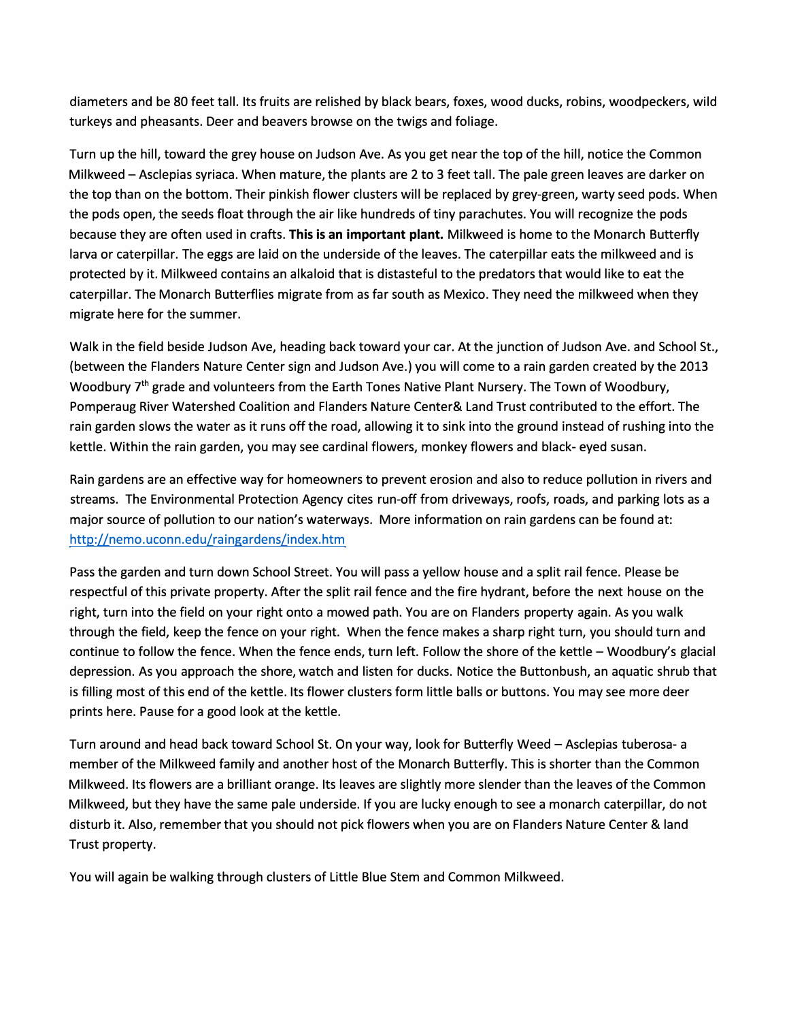diameters and be 80 feet tall. Its fruits are relished by black bears, foxes, wood ducks, robins, woodpeckers, wild turkeys and pheasants. Deer and beavers browse on the twigs and foliage.

Turn up the hill, toward the grey house on Judson Ave. As you get near the top of the hill, notice the Common Milkweed – Asclepias syriaca. When mature, the plants are 2 to 3 feet tall. The pale green leaves are darker on the top than on the bottom. Their pinkish flower clusters will be replaced by grey-green, warty seed pods. When the pods open, the seeds float through the air like hundreds of tiny parachutes. You will recognize the pods because they are often used in crafts. **This is an important plant.** Milkweed is home to the Monarch Butterfly larva or caterpillar. The eggs are laid on the underside of the leaves. The caterpillar eats the milkweed and is protected by it. Milkweed contains an alkaloid that is distasteful to the predators that would like to eat the caterpillar. The Monarch Butterflies migrate from as far south as Mexico. They need the milkweed when they migrate here for the summer.

Walk in the field beside Judson Ave, heading back toward your car. At the junction of Judson Ave. and School St., (between the Flanders Nature Center sign and Judson Ave.) you will come to a rain garden created by the 2013 Woodbury 7<sup>th</sup> grade and volunteers from the Earth Tones Native Plant Nursery. The Town of Woodbury, Pomperaug River Watershed Coalition and Flanders Nature Center& Land Trust contributed to the effort. The rain garden slows the water as it runs off the road, allowing it to sink into the ground instead of rushing into the kettle. Within the rain garden, you may see cardinal flowers, monkey flowers and black- eyed susan.

Rain gardens are an effective way for homeowners to prevent erosion and also to reduce pollution in rivers and streams. The Environmental Protection Agency cites run-off from driveways, roofs, roads, and parking lots as a major source of pollution to our nation's waterways. More information on rain gardens can be found at: http://nemo.uconn.edu/raingardens/index.htm

Pass the garden and turn down School Street. You will pass a yellow house and a split rail fence. Please be respectful of this private property. After the split rail fence and the fire hydrant, before the next house on the right, turn into the field on your right onto a mowed path. You are on Flanders property again. As you walk through the field, keep the fence on your right. When the fence makes a sharp right turn, you should turn and continue to follow the fence. When the fence ends, turn left. Follow the shore of the kettle - Woodbury's glacial depression. As you approach the shore, watch and listen for ducks. Notice the Buttonbush, an aquatic shrub that is filling most of this end of the kettle. Its flower clusters form little balls or buttons. You may see more deer prints here. Pause for a good look at the kettle.

Turn around and head back toward School St. On your way, look for Butterfly Weed - Asclepias tuberosa- a member of the Milkweed family and another host of the Monarch Butterfly. This is shorter than the Common Milkweed. Its flowers are a brilliant orange. Its leaves are slightly more slender than the leaves of the Common Milkweed, but they have the same pale underside. If you are lucky enough to see a monarch caterpillar, do not disturb it. Also, remember that you should not pick flowers when you are on Flanders Nature Center & land Trust property.

You will again be walking through clusters of Little Blue Stem and Common Milkweed.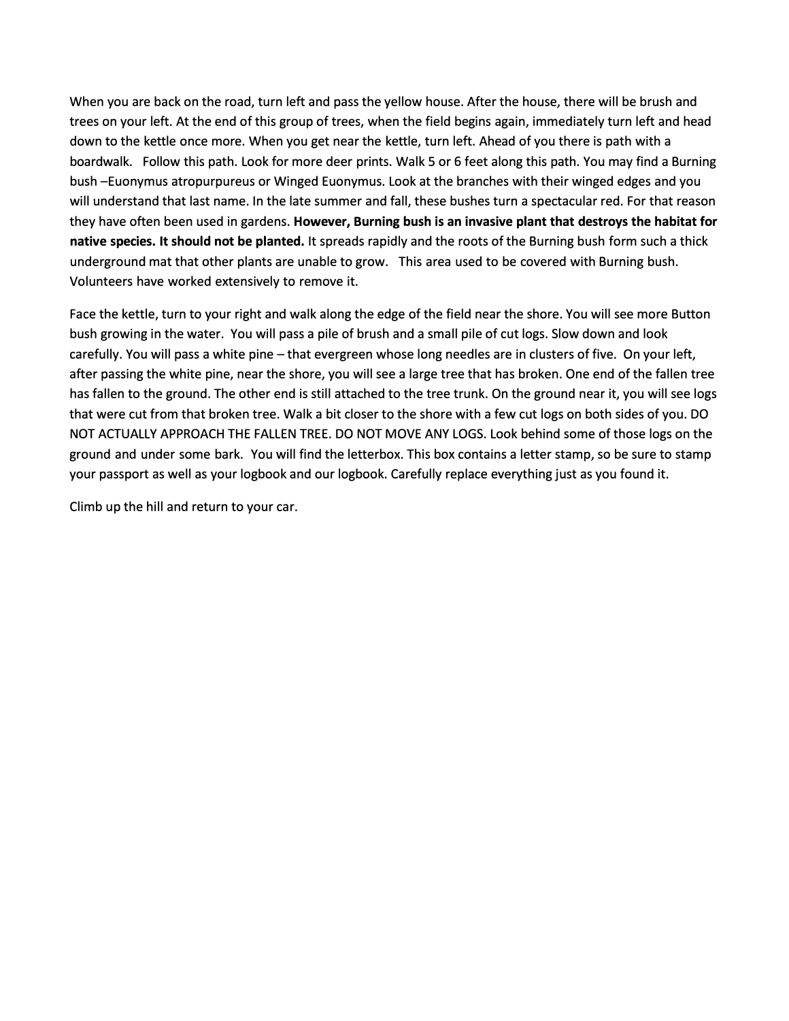When you are back on the road, turn left and pass the yellow house. After the house, there will be brush and trees on your left. At the end of this group of trees, when the field begins again, immediately turn left and head down to the kettle once more. When you get near the kettle, turn left. Ahead of you there is path with a boardwalk. Follow this path. Look for more deer prints. Walk 5 or 6 feet along this path. You may find a Burning bush -Euonymus atropurpureus or Winged Euonymus. Look at the branches with their winged edges and you will understand that last name. In the late summer and fall, these bushes turn a spectacular red. For that reason they have often been used in gardens. **However, Burning bush is an invasive plant that destroys the habitat for native species. It should not be planted.** It spreads rapidly and the roots of the Burning bush form such a thick underground mat that other plants are unable to grow. This area used to be covered with Burning bush. Volunteers have worked extensively to remove it.

Face the kettle, turn to your right and walk along the edge of the field near the shore. You will see more Button bush growing in the water. You will pass a pile of brush and a small pile of cut logs. Slow down and look carefully. You will pass a white pine - that evergreen whose long needles are in clusters of five. On your left, after passing the white pine, near the shore, you will see a large tree that has broken. One end of the fallen tree has fallen to the ground. The other end is still attached to the tree trunk. On the ground near it, you will see logs that were cut from that broken tree. Walk a bit closer to the shore with a few cut logs on both sides of you. DO NOT ACTUALLY APPROACH THE FALLEN TREE. DO NOT MOVE ANY LOGS. Look behind some of those logs on the ground and under some bark. You will find the letterbox. This box contains a letter stamp, so be sure to stamp your passport as well as your logbook and our logbook. Carefully replace everything just as you found it.

Climb up the hill and return to your car.